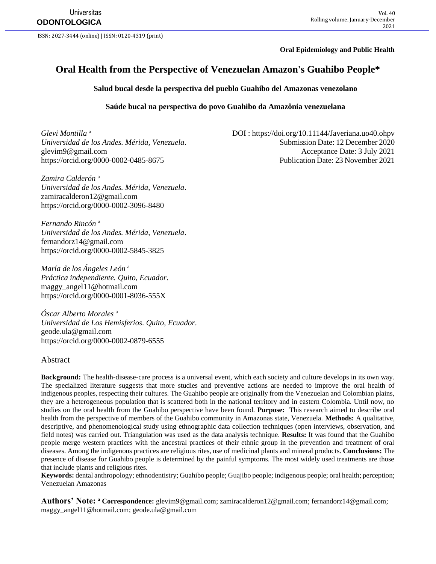**Universitas ODONTOLOGICA**

ISSN: 2027-3444 (online) | ISSN: 0120-4319 (print)

**Oral Epidemiology and Public Health**

# **Oral Health from the Perspective of Venezuelan Amazon's Guahibo People\***

**Salud bucal desde la perspectiva del pueblo Guahibo del Amazonas venezolano**

#### **Saúde bucal na perspectiva do povo Guahibo da Amazônia venezuelana**

*Glevi Montilla* <sup>a</sup>

*Zamira Calderón* <sup>a</sup> *Universidad de los Andes. Mérida, Venezuela*. [zamiracalderon12@gmail.com](mailto:zamiracalderon12@gmail.com) https://orcid.org/0000-0002-3096-8480

*Fernando Rincón* <sup>a</sup> *Universidad de los Andes. Mérida, Venezuela*. [fernandorz14@gmail.com](mailto:fernandorz14@gmail.com) <https://orcid.org/0000-0002-5845-3825>

*María de los Ángeles León* <sup>a</sup> *Práctica independiente. Quito, Ecuador*. [maggy\\_angel11@hotmail.com](mailto:maggy_angel11@hotmail.com)  <https://orcid.org/0000-0001-8036-555X>

*Óscar Alberto Morales* <sup>a</sup> *Universidad de Los Hemisferios. Quito, Ecuador*. [geode.ula@gmail.com](mailto:geode.ula@gmail.com) <https://orcid.org/0000-0002-0879-6555>

#### Abstract

**Background:** The health-disease-care process is a universal event, which each society and culture develops in its own way. The specialized literature suggests that more studies and preventive actions are needed to improve the oral health of indigenous peoples, respecting their cultures. The Guahibo people are originally from the Venezuelan and Colombian plains, they are a heterogeneous population that is scattered both in the national territory and in eastern Colombia. Until now, no studies on the oral health from the Guahibo perspective have been found. **Purpose:** This research aimed to describe oral health from the perspective of members of the Guahibo community in Amazonas state, Venezuela. **Methods:** A qualitative, descriptive, and phenomenological study using ethnographic data collection techniques (open interviews, observation, and field notes) was carried out. Triangulation was used as the data analysis technique. **Results:** It was found that the Guahibo people merge western practices with the ancestral practices of their ethnic group in the prevention and treatment of oral diseases. Among the indigenous practices are religious rites, use of medicinal plants and mineral products. **Conclusions:** The presence of disease for Guahibo people is determined by the painful symptoms. The most widely used treatments are those that include plants and religious rites.

**Keywords:** dental anthropology; ethnodentistry; Guahibo people; Guajibo people; indigenous people; oral health; perception; Venezuelan Amazonas

**Authors' Note: <sup>a</sup> Correspondence:** [glevim9@gmail.com;](mailto:glevim9@gmail.com) [zamiracalderon12@gmail.com;](mailto:zamiracalderon12@gmail.com) [fernandorz14@gmail.com;](mailto:fernandorz14@gmail.com) [maggy\\_angel11@hotmail.com;](mailto:maggy_angel11@hotmail.com) [geode.ula@gmail.com](mailto:geode.ula@gmail.com)

 DOI :<https://doi.org/10.11144/Javeriana.uo40.ohpv> *Universidad de los Andes. Mérida, Venezuela*. Submission Date: 12 December 2020 [glevim9@gmail.com](mailto:glevim9@gmail.com) Acceptance Date: 3 July 2021 <https://orcid.org/0000-0002-0485-8675> Publication Date: 23 November 2021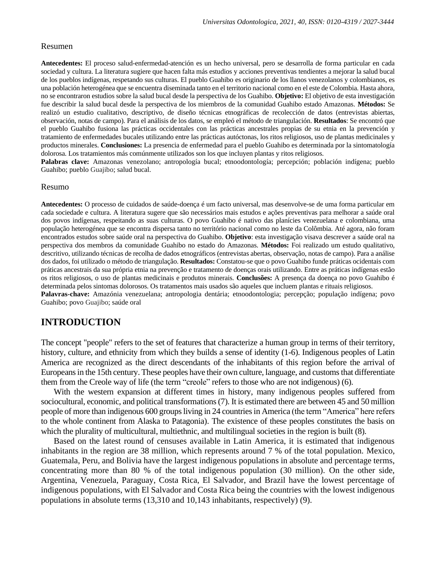#### Resumen

**Antecedentes:** El proceso salud-enfermedad-atención es un hecho universal, pero se desarrolla de forma particular en cada sociedad y cultura. La literatura sugiere que hacen falta más estudios y acciones preventivas tendientes a mejorar la salud bucal de los pueblos indígenas, respetando sus culturas. El pueblo Guahibo es originario de los llanos venezolanos y colombianos, es una población heterogénea que se encuentra diseminada tanto en el territorio nacional como en el este de Colombia. Hasta ahora, no se encontraron estudios sobre la salud bucal desde la perspectiva de los Guahibo. **Objetivo:** El objetivo de esta investigación fue describir la salud bucal desde la perspectiva de los miembros de la comunidad Guahibo estado Amazonas. **Métodos:** Se realizó un estudio cualitativo, descriptivo, de diseño técnicas etnográficas de recolección de datos (entrevistas abiertas, observación, notas de campo). Para el análisis de los datos, se empleó el método de triangulación. **Resultados**: Se encontró que el pueblo Guahibo fusiona las prácticas occidentales con las prácticas ancestrales propias de su etnia en la prevención y tratamiento de enfermedades bucales utilizando entre las prácticas autóctonas, los ritos religiosos, uso de plantas medicinales y productos minerales. **Conclusiones:** La presencia de enfermedad para el pueblo Guahibo es determinada por la sintomatología dolorosa. Los tratamientos más comúnmente utilizados son los que incluyen plantas y ritos religiosos.

**Palabras clave:** Amazonas venezolano; antropología bucal; etnoodontología; percepción; población indígena; pueblo Guahibo; pueblo Guajibo; salud bucal.

#### Resumo

**Antecedentes:** O processo de cuidados de saúde-doença é um facto universal, mas desenvolve-se de uma forma particular em cada sociedade e cultura. A literatura sugere que são necessários mais estudos e ações preventivas para melhorar a saúde oral dos povos indígenas, respeitando as suas culturas. O povo Guahibo é nativo das planícies venezuelana e colombiana, uma população heterogénea que se encontra dispersa tanto no território nacional como no leste da Colômbia. Até agora, não foram encontrados estudos sobre saúde oral na perspectiva do Guahibo. **Objetivo**: esta investigação visava descrever a saúde oral na perspectiva dos membros da comunidade Guahibo no estado do Amazonas. **Métodos:** Foi realizado um estudo qualitativo, descritivo, utilizando técnicas de recolha de dados etnográficos (entrevistas abertas, observação, notas de campo). Para a análise dos dados, foi utilizado o método de triangulação. **Resultados:** Constatou-se que o povo Guahibo funde práticas ocidentais com práticas ancestrais da sua própria etnia na prevenção e tratamento de doenças orais utilizando. Entre as práticas indígenas estão os ritos religiosos, o uso de plantas medicinais e produtos minerais. **Conclusões:** A presença da doença no povo Guahibo é determinada pelos sintomas dolorosos. Os tratamentos mais usados são aqueles que incluem plantas e rituais religiosos. **Palavras-chave:** Amazónia venezuelana; antropologia dentária; etnoodontologia; percepção; população indígena; povo Guahibo; povo Guajibo; saúde oral

### **INTRODUCTION**

The concept "people" refers to the set of features that characterize a human group in terms of their territory, history, culture, and ethnicity from which they builds a sense of identity (1-6). Indigenous peoples of Latin America are recognized as the direct descendants of the inhabitants of this region before the arrival of Europeans in the 15th century. These peoples have their own culture, language, and customs that differentiate them from the Creole way of life (the term "creole" refers to those who are not indigenous) (6).

With the western expansion at different times in history, many indigenous peoples suffered from sociocultural, economic, and political transformations (7). It is estimated there are between 45 and 50 million people of more than indigenous 600 groups living in 24 countries in America (the term "America" here refers to the whole continent from Alaska to Patagonia). The existence of these peoples constitutes the basis on which the plurality of multicultural, multiethnic, and multilingual societies in the region is built (8).

Based on the latest round of censuses available in Latin America, it is estimated that indigenous inhabitants in the region are 38 million, which represents around 7 % of the total population. Mexico, Guatemala, Peru, and Bolivia have the largest indigenous populations in absolute and percentage terms, concentrating more than 80 % of the total indigenous population (30 million). On the other side, Argentina, Venezuela, Paraguay, Costa Rica, El Salvador, and Brazil have the lowest percentage of indigenous populations, with El Salvador and Costa Rica being the countries with the lowest indigenous populations in absolute terms (13,310 and 10,143 inhabitants, respectively) (9).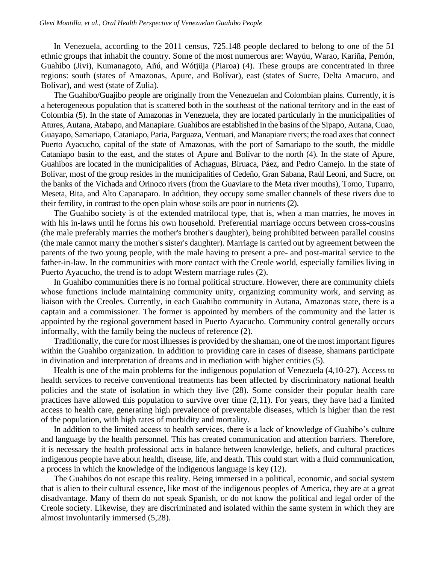In Venezuela, according to the 2011 census, 725.148 people declared to belong to one of the 51 ethnic groups that inhabit the country. Some of the most numerous are: Wayúu, Warao, Kariña, Pemón, Guahibo (Jivi), Kumanagoto, Añú, and Wótjüja (Piaroa) (4). These groups are concentrated in three regions: south (states of Amazonas, Apure, and Bolívar), east (states of Sucre, Delta Amacuro, and Bolívar), and west (state of Zulia).

The Guahibo/Guajibo people are originally from the Venezuelan and Colombian plains. Currently, it is a heterogeneous population that is scattered both in the southeast of the national territory and in the east of Colombia (5). In the state of Amazonas in Venezuela, they are located particularly in the municipalities of Atures, Autana, Atabapo, and Manapiare. Guahibos are established in the basins of the Sipapo, Autana, Cuao, Guayapo, Samariapo, Cataniapo, Paria, Parguaza, Ventuari, and Manapiare rivers; the road axes that connect Puerto Ayacucho, capital of the state of Amazonas, with the port of Samariapo to the south, the middle Cataniapo basin to the east, and the states of Apure and Bolívar to the north (4). In the state of Apure, Guahibos are located in the municipalities of Achaguas, Biruaca, Páez, and Pedro Camejo. In the state of Bolívar, most of the group resides in the municipalities of Cedeño, Gran Sabana, Raúl Leoni, and Sucre, on the banks of the Vichada and Orinoco rivers (from the Guaviare to the Meta river mouths), Tomo, Tuparro, Meseta, Bita, and Alto Capanaparo. In addition, they occupy some smaller channels of these rivers due to their fertility, in contrast to the open plain whose soils are poor in nutrients (2).

The Guahibo society is of the extended matrilocal type, that is, when a man marries, he moves in with his in-laws until he forms his own household. Preferential marriage occurs between cross-cousins (the male preferably marries the mother's brother's daughter), being prohibited between parallel cousins (the male cannot marry the mother's sister's daughter). Marriage is carried out by agreement between the parents of the two young people, with the male having to present a pre- and post-marital service to the father-in-law. In the communities with more contact with the Creole world, especially families living in Puerto Ayacucho, the trend is to adopt Western marriage rules (2).

In Guahibo communities there is no formal political structure. However, there are community chiefs whose functions include maintaining community unity, organizing community work, and serving as liaison with the Creoles. Currently, in each Guahibo community in Autana, Amazonas state, there is a captain and a commissioner. The former is appointed by members of the community and the latter is appointed by the regional government based in Puerto Ayacucho. Community control generally occurs informally, with the family being the nucleus of reference (2).

Traditionally, the cure for most illnesses is provided by the shaman, one of the most important figures within the Guahibo organization. In addition to providing care in cases of disease, shamans participate in divination and interpretation of dreams and in mediation with higher entities (5).

Health is one of the main problems for the indigenous population of Venezuela (4,10-27). Access to health services to receive conventional treatments has been affected by discriminatory national health policies and the state of isolation in which they live (28). Some consider their popular health care practices have allowed this population to survive over time (2,11). For years, they have had a limited access to health care, generating high prevalence of preventable diseases, which is higher than the rest of the population, with high rates of morbidity and mortality.

In addition to the limited access to health services, there is a lack of knowledge of Guahibo's culture and language by the health personnel. This has created communication and attention barriers. Therefore, it is necessary the health professional acts in balance between knowledge, beliefs, and cultural practices indigenous people have about health, disease, life, and death. This could start with a fluid communication, a process in which the knowledge of the indigenous language is key (12).

The Guahibos do not escape this reality. Being immersed in a political, economic, and social system that is alien to their cultural essence, like most of the indigenous peoples of America, they are at a great disadvantage. Many of them do not speak Spanish, or do not know the political and legal order of the Creole society. Likewise, they are discriminated and isolated within the same system in which they are almost involuntarily immersed (5,28).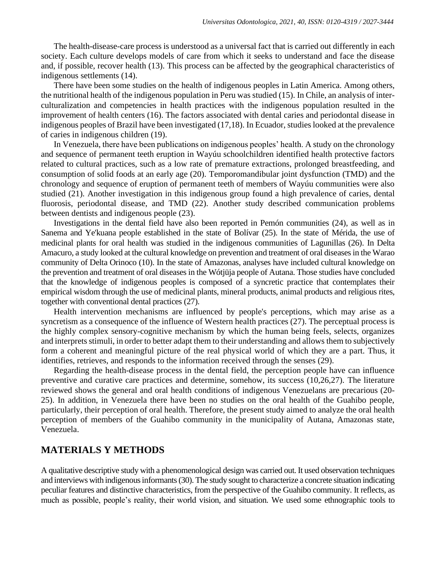The health-disease-care process is understood as a universal fact that is carried out differently in each society. Each culture develops models of care from which it seeks to understand and face the disease and, if possible, recover health (13). This process can be affected by the geographical characteristics of indigenous settlements (14).

There have been some studies on the health of indigenous peoples in Latin America. Among others, the nutritional health of the indigenous population in Peru was studied (15). In Chile, an analysis of interculturalization and competencies in health practices with the indigenous population resulted in the improvement of health centers (16). The factors associated with dental caries and periodontal disease in indigenous peoples of Brazil have been investigated (17,18). In Ecuador, studies looked at the prevalence of caries in indigenous children (19).

In Venezuela, there have been publications on indigenous peoples' health. A study on the chronology and sequence of permanent teeth eruption in Wayúu schoolchildren identified health protective factors related to cultural practices, such as a low rate of premature extractions, prolonged breastfeeding, and consumption of solid foods at an early age (20). Temporomandibular joint dysfunction (TMD) and the chronology and sequence of eruption of permanent teeth of members of Wayúu communities were also studied (21). Another investigation in this indigenous group found a high prevalence of caries, dental fluorosis, periodontal disease, and TMD (22). Another study described communication problems between dentists and indigenous people (23).

Investigations in the dental field have also been reported in Pemón communities (24), as well as in Sanema and Ye'kuana people established in the state of Bolívar (25). In the state of Mérida, the use of medicinal plants for oral health was studied in the indigenous communities of Lagunillas (26). In Delta Amacuro, a study looked at the cultural knowledge on prevention and treatment of oral diseases in the Warao community of Delta Orinoco (10). In the state of Amazonas, analyses have included cultural knowledge on the prevention and treatment of oral diseases in the Wótjüja people of Autana. Those studies have concluded that the knowledge of indigenous peoples is composed of a syncretic practice that contemplates their empirical wisdom through the use of medicinal plants, mineral products, animal products and religious rites, together with conventional dental practices (27).

Health intervention mechanisms are influenced by people's perceptions, which may arise as a syncretism as a consequence of the influence of Western health practices (27). The perceptual process is the highly complex sensory-cognitive mechanism by which the human being feels, selects, organizes and interprets stimuli, in order to better adapt them to their understanding and allows them to subjectively form a coherent and meaningful picture of the real physical world of which they are a part. Thus, it identifies, retrieves, and responds to the information received through the senses (29).

Regarding the health-disease process in the dental field, the perception people have can influence preventive and curative care practices and determine, somehow, its success (10,26,27). The literature reviewed shows the general and oral health conditions of indigenous Venezuelans are precarious (20- 25). In addition, in Venezuela there have been no studies on the oral health of the Guahibo people, particularly, their perception of oral health. Therefore, the present study aimed to analyze the oral health perception of members of the Guahibo community in the municipality of Autana, Amazonas state, Venezuela.

### **MATERIALS Y METHODS**

A qualitative descriptive study with a phenomenological design was carried out. It used observation techniques and interviews with indigenous informants (30). The study sought to characterize a concrete situation indicating peculiar features and distinctive characteristics, from the perspective of the Guahibo community. It reflects, as much as possible, people's reality, their world vision, and situation. We used some ethnographic tools to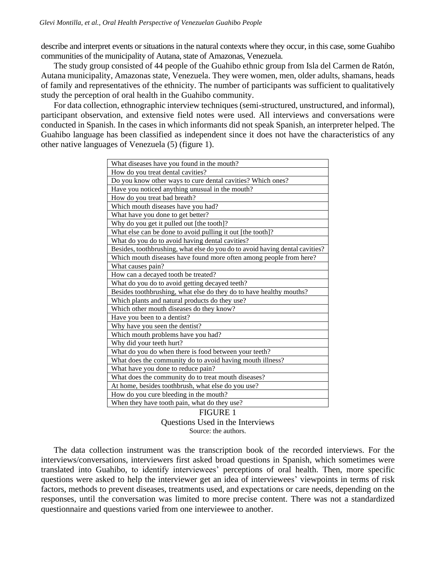describe and interpret events or situations in the natural contexts where they occur, in this case, some Guahibo communities of the municipality of Autana, state of Amazonas, Venezuela.

The study group consisted of 44 people of the Guahibo ethnic group from Isla del Carmen de Ratón, Autana municipality, Amazonas state, Venezuela. They were women, men, older adults, shamans, heads of family and representatives of the ethnicity. The number of participants was sufficient to qualitatively study the perception of oral health in the Guahibo community.

For data collection, ethnographic interview techniques (semi-structured, unstructured, and informal), participant observation, and extensive field notes were used. All interviews and conversations were conducted in Spanish. In the cases in which informants did not speak Spanish, an interpreter helped. The Guahibo language has been classified as independent since it does not have the characteristics of any other native languages of Venezuela (5) (figure 1).

| What diseases have you found in the mouth?                                   |
|------------------------------------------------------------------------------|
| How do you treat dental cavities?                                            |
| Do you know other ways to cure dental cavities? Which ones?                  |
| Have you noticed anything unusual in the mouth?                              |
| How do you treat bad breath?                                                 |
| Which mouth diseases have you had?                                           |
| What have you done to get better?                                            |
| Why do you get it pulled out [the tooth]?                                    |
| What else can be done to avoid pulling it out [the tooth]?                   |
| What do you do to avoid having dental cavities?                              |
| Besides, toothbrushing, what else do you do to avoid having dental cavities? |
| Which mouth diseases have found more often among people from here?           |
| What causes pain?                                                            |
| How can a decayed tooth be treated?                                          |
| What do you do to avoid getting decayed teeth?                               |
| Besides toothbrushing, what else do they do to have healthy mouths?          |
| Which plants and natural products do they use?                               |
| Which other mouth diseases do they know?                                     |
| Have you been to a dentist?                                                  |
| Why have you seen the dentist?                                               |
| Which mouth problems have you had?                                           |
| Why did your teeth hurt?                                                     |
| What do you do when there is food between your teeth?                        |
| What does the community do to avoid having mouth illness?                    |
| What have you done to reduce pain?                                           |
| What does the community do to treat mouth diseases?                          |
| At home, besides toothbrush, what else do you use?                           |
| How do you cure bleeding in the mouth?                                       |
| When they have tooth pain, what do they use?                                 |
| FIGURE 1                                                                     |

Questions Used in the Interviews Source: the authors.

The data collection instrument was the transcription book of the recorded interviews. For the interviews/conversations, interviewers first asked broad questions in Spanish, which sometimes were translated into Guahibo, to identify interviewees' perceptions of oral health. Then, more specific questions were asked to help the interviewer get an idea of interviewees' viewpoints in terms of risk factors, methods to prevent diseases, treatments used, and expectations or care needs, depending on the responses, until the conversation was limited to more precise content. There was not a standardized questionnaire and questions varied from one interviewee to another.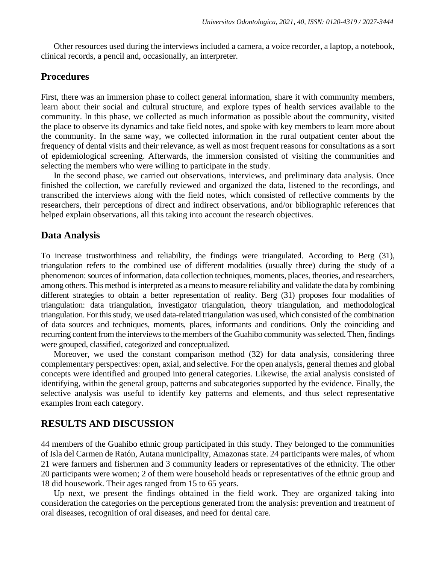Other resources used during the interviews included a camera, a voice recorder, a laptop, a notebook, clinical records, a pencil and, occasionally, an interpreter.

# **Procedures**

First, there was an immersion phase to collect general information, share it with community members, learn about their social and cultural structure, and explore types of health services available to the community. In this phase, we collected as much information as possible about the community, visited the place to observe its dynamics and take field notes, and spoke with key members to learn more about the community. In the same way, we collected information in the rural outpatient center about the frequency of dental visits and their relevance, as well as most frequent reasons for consultations as a sort of epidemiological screening. Afterwards, the immersion consisted of visiting the communities and selecting the members who were willing to participate in the study.

In the second phase, we carried out observations, interviews, and preliminary data analysis. Once finished the collection, we carefully reviewed and organized the data, listened to the recordings, and transcribed the interviews along with the field notes, which consisted of reflective comments by the researchers, their perceptions of direct and indirect observations, and/or bibliographic references that helped explain observations, all this taking into account the research objectives.

### **Data Analysis**

To increase trustworthiness and reliability, the findings were triangulated. According to Berg (31), triangulation refers to the combined use of different modalities (usually three) during the study of a phenomenon: sources of information, data collection techniques, moments, places, theories, and researchers, among others. This method is interpreted as a means to measure reliability and validate the data by combining different strategies to obtain a better representation of reality. Berg (31) proposes four modalities of triangulation: data triangulation, investigator triangulation, theory triangulation, and methodological triangulation. For this study, we used data-related triangulation was used, which consisted of the combination of data sources and techniques, moments, places, informants and conditions. Only the coinciding and recurring content from the interviews to the members of the Guahibo community was selected. Then, findings were grouped, classified, categorized and conceptualized.

Moreover, we used the constant comparison method (32) for data analysis, considering three complementary perspectives: open, axial, and selective. For the open analysis, general themes and global concepts were identified and grouped into general categories. Likewise, the axial analysis consisted of identifying, within the general group, patterns and subcategories supported by the evidence. Finally, the selective analysis was useful to identify key patterns and elements, and thus select representative examples from each category.

# **RESULTS AND DISCUSSION**

44 members of the Guahibo ethnic group participated in this study. They belonged to the communities of Isla del Carmen de Ratón, Autana municipality, Amazonas state. 24 participants were males, of whom 21 were farmers and fishermen and 3 community leaders or representatives of the ethnicity. The other 20 participants were women; 2 of them were household heads or representatives of the ethnic group and 18 did housework. Their ages ranged from 15 to 65 years.

Up next, we present the findings obtained in the field work. They are organized taking into consideration the categories on the perceptions generated from the analysis: prevention and treatment of oral diseases, recognition of oral diseases, and need for dental care.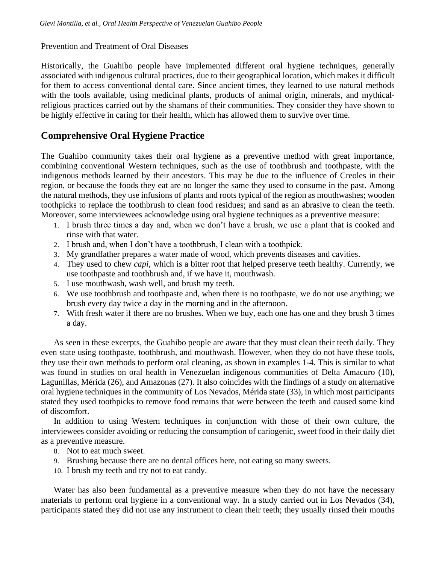### Prevention and Treatment of Oral Diseases

Historically, the Guahibo people have implemented different oral hygiene techniques, generally associated with indigenous cultural practices, due to their geographical location, which makes it difficult for them to access conventional dental care. Since ancient times, they learned to use natural methods with the tools available, using medicinal plants, products of animal origin, minerals, and mythicalreligious practices carried out by the shamans of their communities. They consider they have shown to be highly effective in caring for their health, which has allowed them to survive over time.

# **Comprehensive Oral Hygiene Practice**

The Guahibo community takes their oral hygiene as a preventive method with great importance, combining conventional Western techniques, such as the use of toothbrush and toothpaste, with the indigenous methods learned by their ancestors. This may be due to the influence of Creoles in their region, or because the foods they eat are no longer the same they used to consume in the past. Among the natural methods, they use infusions of plants and roots typical of the region as mouthwashes; wooden toothpicks to replace the toothbrush to clean food residues; and sand as an abrasive to clean the teeth. Moreover, some interviewees acknowledge using oral hygiene techniques as a preventive measure:

- 1. I brush three times a day and, when we don't have a brush, we use a plant that is cooked and rinse with that water.
- 2. I brush and, when I don't have a toothbrush, I clean with a toothpick.
- 3. My grandfather prepares a water made of wood, which prevents diseases and cavities.
- 4. They used to chew *capi*, which is a bitter root that helped preserve teeth healthy. Currently, we use toothpaste and toothbrush and, if we have it, mouthwash.
- 5. I use mouthwash, wash well, and brush my teeth.
- 6. We use toothbrush and toothpaste and, when there is no toothpaste, we do not use anything; we brush every day twice a day in the morning and in the afternoon.
- 7. With fresh water if there are no brushes. When we buy, each one has one and they brush 3 times a day.

As seen in these excerpts, the Guahibo people are aware that they must clean their teeth daily. They even state using toothpaste, toothbrush, and mouthwash. However, when they do not have these tools, they use their own methods to perform oral cleaning, as shown in examples 1-4. This is similar to what was found in studies on oral health in Venezuelan indigenous communities of Delta Amacuro (10), Lagunillas, Mérida (26), and Amazonas (27). It also coincides with the findings of a study on alternative oral hygiene techniques in the community of Los Nevados, Mérida state (33), in which most participants stated they used toothpicks to remove food remains that were between the teeth and caused some kind of discomfort.

In addition to using Western techniques in conjunction with those of their own culture, the interviewees consider avoiding or reducing the consumption of cariogenic, sweet food in their daily diet as a preventive measure.

- 8. Not to eat much sweet.
- 9. Brushing because there are no dental offices here, not eating so many sweets.
- 10. I brush my teeth and try not to eat candy.

Water has also been fundamental as a preventive measure when they do not have the necessary materials to perform oral hygiene in a conventional way. In a study carried out in Los Nevados (34), participants stated they did not use any instrument to clean their teeth; they usually rinsed their mouths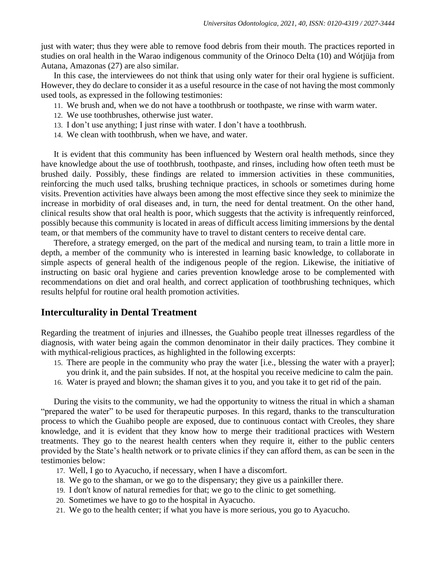just with water; thus they were able to remove food debris from their mouth. The practices reported in studies on oral health in the Warao indigenous community of the Orinoco Delta (10) and Wótjüja from Autana, Amazonas (27) are also similar.

In this case, the interviewees do not think that using only water for their oral hygiene is sufficient. However, they do declare to consider it as a useful resource in the case of not having the most commonly used tools, as expressed in the following testimonies:

- 11. We brush and, when we do not have a toothbrush or toothpaste, we rinse with warm water.
- 12. We use toothbrushes, otherwise just water.
- 13. I don't use anything; I just rinse with water. I don't have a toothbrush.
- 14. We clean with toothbrush, when we have, and water.

It is evident that this community has been influenced by Western oral health methods, since they have knowledge about the use of toothbrush, toothpaste, and rinses, including how often teeth must be brushed daily. Possibly, these findings are related to immersion activities in these communities, reinforcing the much used talks, brushing technique practices, in schools or sometimes during home visits. Prevention activities have always been among the most effective since they seek to minimize the increase in morbidity of oral diseases and, in turn, the need for dental treatment. On the other hand, clinical results show that oral health is poor, which suggests that the activity is infrequently reinforced, possibly because this community is located in areas of difficult access limiting immersions by the dental team, or that members of the community have to travel to distant centers to receive dental care.

Therefore, a strategy emerged, on the part of the medical and nursing team, to train a little more in depth, a member of the community who is interested in learning basic knowledge, to collaborate in simple aspects of general health of the indigenous people of the region. Likewise, the initiative of instructing on basic oral hygiene and caries prevention knowledge arose to be complemented with recommendations on diet and oral health, and correct application of toothbrushing techniques, which results helpful for routine oral health promotion activities.

# **Interculturality in Dental Treatment**

Regarding the treatment of injuries and illnesses, the Guahibo people treat illnesses regardless of the diagnosis, with water being again the common denominator in their daily practices. They combine it with mythical-religious practices, as highlighted in the following excerpts:

- 15. There are people in the community who pray the water [i.e., blessing the water with a prayer]; you drink it, and the pain subsides. If not, at the hospital you receive medicine to calm the pain.
- 16. Water is prayed and blown; the shaman gives it to you, and you take it to get rid of the pain.

During the visits to the community, we had the opportunity to witness the ritual in which a shaman "prepared the water" to be used for therapeutic purposes. In this regard, thanks to the transculturation process to which the Guahibo people are exposed, due to continuous contact with Creoles, they share knowledge, and it is evident that they know how to merge their traditional practices with Western treatments. They go to the nearest health centers when they require it, either to the public centers provided by the State's health network or to private clinics if they can afford them, as can be seen in the testimonies below:

- 17. Well, I go to Ayacucho, if necessary, when I have a discomfort.
- 18. We go to the shaman, or we go to the dispensary; they give us a painkiller there.
- 19. I don't know of natural remedies for that; we go to the clinic to get something.
- 20. Sometimes we have to go to the hospital in Ayacucho.
- 21. We go to the health center; if what you have is more serious, you go to Ayacucho.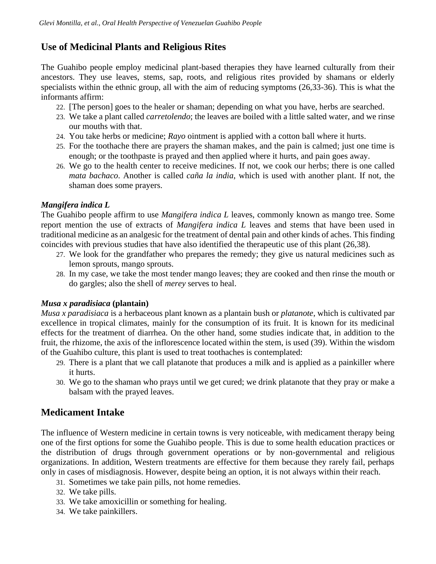# **Use of Medicinal Plants and Religious Rites**

The Guahibo people employ medicinal plant-based therapies they have learned culturally from their ancestors. They use leaves, stems, sap, roots, and religious rites provided by shamans or elderly specialists within the ethnic group, all with the aim of reducing symptoms (26,33-36). This is what the informants affirm:

- 22. [The person] goes to the healer or shaman; depending on what you have, herbs are searched.
- 23. We take a plant called *carretolendo*; the leaves are boiled with a little salted water, and we rinse our mouths with that.
- 24. You take herbs or medicine; *Rayo* ointment is applied with a cotton ball where it hurts.
- 25. For the toothache there are prayers the shaman makes, and the pain is calmed; just one time is enough; or the toothpaste is prayed and then applied where it hurts, and pain goes away.
- 26. We go to the health center to receive medicines. If not, we cook our herbs; there is one called *mata bachaco*. Another is called *caña la india*, which is used with another plant. If not, the shaman does some prayers.

## *Mangifera indica L*

The Guahibo people affirm to use *Mangifera indica L* leaves, commonly known as mango tree. Some report mention the use of extracts of *Mangifera indica L* leaves and stems that have been used in traditional medicine as an analgesic for the treatment of dental pain and other kinds of aches. This finding coincides with previous studies that have also identified the therapeutic use of this plant (26,38).

- 27. We look for the grandfather who prepares the remedy; they give us natural medicines such as lemon sprouts, mango sprouts.
- 28. In my case, we take the most tender mango leaves; they are cooked and then rinse the mouth or do gargles; also the shell of *merey* serves to heal.

# *Musa x paradisiaca* **(plantain)**

*Musa x paradisiaca* is a herbaceous plant known as a plantain bush or *platanote*, which is cultivated par excellence in tropical climates, mainly for the consumption of its fruit. It is known for its medicinal effects for the treatment of diarrhea. On the other hand, some studies indicate that, in addition to the fruit, the rhizome, the axis of the inflorescence located within the stem, is used (39). Within the wisdom of the Guahibo culture, this plant is used to treat toothaches is contemplated:

- 29. There is a plant that we call platanote that produces a milk and is applied as a painkiller where it hurts.
- 30. We go to the shaman who prays until we get cured; we drink platanote that they pray or make a balsam with the prayed leaves.

# **Medicament Intake**

The influence of Western medicine in certain towns is very noticeable, with medicament therapy being one of the first options for some the Guahibo people. This is due to some health education practices or the distribution of drugs through government operations or by non-governmental and religious organizations. In addition, Western treatments are effective for them because they rarely fail, perhaps only in cases of misdiagnosis. However, despite being an option, it is not always within their reach.

- 31. Sometimes we take pain pills, not home remedies.
- 32. We take pills.
- 33. We take amoxicillin or something for healing.
- 34. We take painkillers.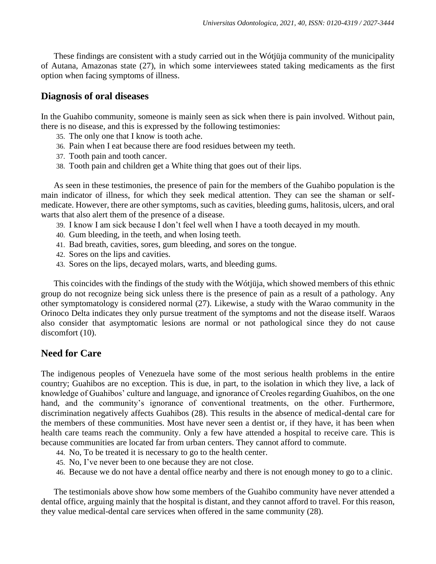These findings are consistent with a study carried out in the Wótjüja community of the municipality of Autana, Amazonas state (27), in which some interviewees stated taking medicaments as the first option when facing symptoms of illness.

### **Diagnosis of oral diseases**

In the Guahibo community, someone is mainly seen as sick when there is pain involved. Without pain, there is no disease, and this is expressed by the following testimonies:

- 35. The only one that I know is tooth ache.
- 36. Pain when I eat because there are food residues between my teeth.
- 37. Tooth pain and tooth cancer.
- 38. Tooth pain and children get a White thing that goes out of their lips.

As seen in these testimonies, the presence of pain for the members of the Guahibo population is the main indicator of illness, for which they seek medical attention. They can see the shaman or selfmedicate. However, there are other symptoms, such as cavities, bleeding gums, halitosis, ulcers, and oral warts that also alert them of the presence of a disease.

- 39. I know I am sick because I don't feel well when I have a tooth decayed in my mouth.
- 40. Gum bleeding, in the teeth, and when losing teeth.
- 41. Bad breath, cavities, sores, gum bleeding, and sores on the tongue.
- 42. Sores on the lips and cavities.
- 43. Sores on the lips, decayed molars, warts, and bleeding gums.

This coincides with the findings of the study with the Wótjüja, which showed members of this ethnic group do not recognize being sick unless there is the presence of pain as a result of a pathology. Any other symptomatology is considered normal (27). Likewise, a study with the Warao community in the Orinoco Delta indicates they only pursue treatment of the symptoms and not the disease itself. Waraos also consider that asymptomatic lesions are normal or not pathological since they do not cause discomfort (10).

# **Need for Care**

The indigenous peoples of Venezuela have some of the most serious health problems in the entire country; Guahibos are no exception. This is due, in part, to the isolation in which they live, a lack of knowledge of Guahibos' culture and language, and ignorance of Creoles regarding Guahibos, on the one hand, and the community's ignorance of conventional treatments, on the other. Furthermore, discrimination negatively affects Guahibos (28). This results in the absence of medical-dental care for the members of these communities. Most have never seen a dentist or, if they have, it has been when health care teams reach the community. Only a few have attended a hospital to receive care. This is because communities are located far from urban centers. They cannot afford to commute.

- 44. No, To be treated it is necessary to go to the health center.
- 45. No, I've never been to one because they are not close.
- 46. Because we do not have a dental office nearby and there is not enough money to go to a clinic.

The testimonials above show how some members of the Guahibo community have never attended a dental office, arguing mainly that the hospital is distant, and they cannot afford to travel. For this reason, they value medical-dental care services when offered in the same community (28).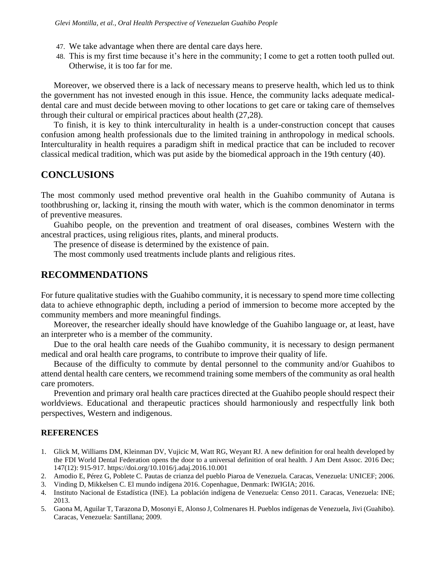- 47. We take advantage when there are dental care days here.
- 48. This is my first time because it's here in the community; I come to get a rotten tooth pulled out. Otherwise, it is too far for me.

Moreover, we observed there is a lack of necessary means to preserve health, which led us to think the government has not invested enough in this issue. Hence, the community lacks adequate medicaldental care and must decide between moving to other locations to get care or taking care of themselves through their cultural or empirical practices about health (27,28).

To finish, it is key to think interculturality in health is a under-construction concept that causes confusion among health professionals due to the limited training in anthropology in medical schools. Interculturality in health requires a paradigm shift in medical practice that can be included to recover classical medical tradition, which was put aside by the biomedical approach in the 19th century (40).

## **CONCLUSIONS**

The most commonly used method preventive oral health in the Guahibo community of Autana is toothbrushing or, lacking it, rinsing the mouth with water, which is the common denominator in terms of preventive measures.

Guahibo people, on the prevention and treatment of oral diseases, combines Western with the ancestral practices, using religious rites, plants, and mineral products.

The presence of disease is determined by the existence of pain.

The most commonly used treatments include plants and religious rites.

### **RECOMMENDATIONS**

For future qualitative studies with the Guahibo community, it is necessary to spend more time collecting data to achieve ethnographic depth, including a period of immersion to become more accepted by the community members and more meaningful findings.

Moreover, the researcher ideally should have knowledge of the Guahibo language or, at least, have an interpreter who is a member of the community.

Due to the oral health care needs of the Guahibo community, it is necessary to design permanent medical and oral health care programs, to contribute to improve their quality of life.

Because of the difficulty to commute by dental personnel to the community and/or Guahibos to attend dental health care centers, we recommend training some members of the community as oral health care promoters.

Prevention and primary oral health care practices directed at the Guahibo people should respect their worldviews. Educational and therapeutic practices should harmoniously and respectfully link both perspectives, Western and indigenous.

#### **REFERENCES**

- 1. Glick M, Williams DM, Kleinman DV, Vujicic M, Watt RG, Weyant RJ. A new definition for oral health developed by the FDI World Dental Federation opens the door to a universal definition of oral health. J Am Dent Assoc. 2016 Dec; 147(12): 915-917.<https://doi.org/10.1016/j.adaj.2016.10.001>
- 2. Amodio E, Pérez G, Poblete C. Pautas de crianza del pueblo Piaroa de Venezuela. Caracas, Venezuela: UNICEF; 2006.
- 3. Vinding D, Mikkelsen C. El mundo indígena 2016. Copenhague, Denmark: IWIGIA; 2016.
- 4. Instituto Nacional de Estadística (INE). La población indígena de Venezuela: Censo 2011. Caracas, Venezuela: INE; 2013.
- 5. Gaona M, Aguilar T, Tarazona D, Mosonyi E, Alonso J, Colmenares H. Pueblos indígenas de Venezuela, Jivi (Guahibo). Caracas, Venezuela: Santillana; 2009.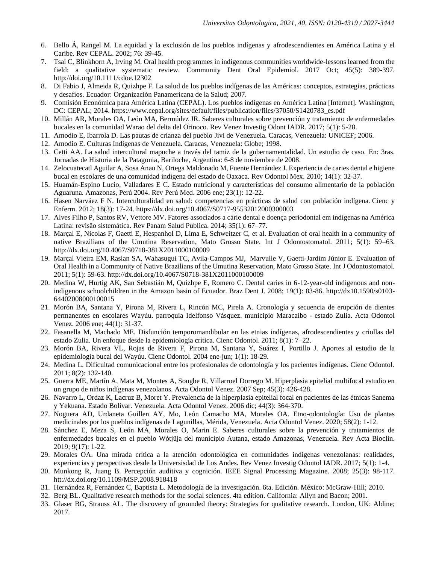- 6. Bello Á, Rangel M. La equidad y la exclusión de los pueblos indígenas y afrodescendientes en América Latina y el Caribe. Rev CEPAL. 2002; 76: 39-45.
- 7. Tsai C, Blinkhorn A, Irving M. Oral health programmes in indigenous communities worldwide-lessons learned from the field: a qualitative systematic review. Community Dent Oral Epidemiol. 2017 Oct; 45(5): 389-397. <http://doi.org/10.1111/cdoe.12302>
- 8. Di Fabio J, Almeida R, Quizhpe F. La salud de los pueblos indígenas de las Américas: conceptos, estrategias, prácticas y desafíos. Ecuador: Organización Panamericana de la Salud; 2007.
- 9. Comisión Económica para América Latina (CEPAL). Los pueblos indígenas en América Latina [Internet]. Washington, DC: CEPAL; 2014[. https://www.cepal.org/sites/default/files/publication/files/37050/S1420783\\_es.pdf](https://www.cepal.org/sites/default/files/publication/files/37050/S1420783_es.pdf)
- 10. Millán AR, Morales OA, León MA, Bermúdez JR. Saberes culturales sobre prevención y tratamiento de enfermedades bucales en la comunidad Warao del delta del Orinoco. Rev Venez Investig Odont IADR. 2017; 5(1): 5-28.
- 11. Amodio E, Ibarrola D. Las pautas de crianza del pueblo Jivi de Venezuela. Caracas, Venezuela: UNICEF; 2006.
- 12. Amodio E. Culturas Indígenas de Venezuela. Caracas, Venezuela: Globe; 1998.
- 13. Cetti AA. La salud intercultural mapuche a través del tamiz de la gubernamentalidad. Un estudio de caso. En: 3ras. Jornadas de Historia de la Patagonia, Bariloche, Argentina: 6-8 de noviembre de 2008.
- 14. Zelocuatecatl Aguilar A, Sosa Anau N, Ortega Maldonado M, Fuente Hernández J. Experiencia de caries dental e higiene bucal en escolares de una comunidad indígena del estado de Oaxaca. Rev Odontol Mex. 2010; 14(1): 32-37.
- 15. Huamán-Espino Lucio, Valladares E C. Estado nutricional y características del consumo alimentario de la población Aguaruna. Amazonas, Perú 2004. Rev Perú Med. 2006 ene; 23(1): 12-22.
- 16. Hasen Narváez F N. Interculturalidad en salud: competencias en prácticas de salud con población indígena. Cienc y Enferm. 2012; 18(3): 17-24. <https://dx.doi.org/10.4067/S0717-95532012000300003>
- 17. Alves Filho P, Santos RV, Vettore MV. Fatores associados a cárie dental e doença periodontal em indígenas na América Latina: revisão sistemática. Rev Panam Salud Publica. 2014; 35(1): 67–77.
- 18. Marçal E, Nicolas F, Gaetti E, Hespanhol D, Lima E, Schweitzer C, et al. Evaluation of oral health in a community of native Brazilians of the Umutina Reservation, Mato Grosso State. Int J Odontostomatol. 2011; 5(1): 59–6[3.](http://dx.doi.org/10.4067/S0718-381X2011000100009) <http://dx.doi.org/10.4067/S0718-381X2011000100009>
- 19. Marçal Vieira EM, Raslan SA, Wahasugui TC, Avila-Campos MJ, Marvulle V, Gaetti-Jardim Júnior E. Evaluation of Oral Health in a Community of Native Brazilians of the Umutina Reservation, Mato Grosso State. Int J Odontostomatol*.* 2011; 5(1): 59-63.<http://dx.doi.org/10.4067/S0718-381X2011000100009>
- 20. Medina W, Hurtig AK, San Sebastián M, Quizhpe E, Romero C. Dental caries in 6-12-year-old indigenous and nonindigenous schoolchildren in the Amazon basin of Ecuador. Braz Dent J. 2008; 19(1): 83-86. [http://dx10.1590/s0103-](http://dx10.1590/s0103-64402008000100015) [64402008000100015](http://dx10.1590/s0103-64402008000100015)
- 21. Morón BA, Santana Y, Pirona M, Rivera L, Rincón MC, Pirela A. Cronología y secuencia de erupción de dientes permanentes en escolares Wayúu. parroquia Idelfonso Vásquez. municipio Maracaibo - estado Zulia. Acta Odontol Venez. 2006 ene; 44(1): 31-37.
- 22. Fasanella M, Machado ME. Disfunción temporomandibular en las etnias indígenas, afrodescendientes y criollas del estado Zulia. Un enfoque desde la epidemiología crítica. Cienc Odontol. 2011; 8(1): 7–22.
- 23. Morón BA, Rivera VL, Rojas de Rivera F, Pirona M, Santana Y, Suárez I, Portillo J. Aportes al estudio de la epidemiología bucal del Wayúu. Cienc Odontol. 2004 ene-jun; 1(1): 18-29.
- 24. Medina L. Dificultad comunicacional entre los profesionales de odontología y los pacientes indígenas. Cienc Odontol. 2011; 8(2): 132-140.
- 25. Guerra ME, Martín A, Mata M, Montes A, Sougbe R, Villarroel Dorrego M. Hiperplasia epitelial multifocal estudio en un grupo de niños indígenas venezolanos. Acta Odontol Venez. 2007 Sep; 45(3): 426-428.
- 26. Navarro L, Ordaz K, Lacruz B, Moret Y. Prevalencia de la hiperplasia epitelial focal en pacientes de las étnicas Sanema y Yekuana. Estado Bolívar. Venezuela. Acta Odontol Venez. 2006 dic; 44(3): 364-370.
- 27. Noguera AD, Urdaneta Guillen AY, Mo, León Camacho MA, Morales OA. Etno-odontología: Uso de plantas medicinales por los pueblos indígenas de Lagunillas, Mérida, Venezuela. Acta Odontol Venez. 2020; 58(2): 1-12.
- 28. Sánchez E, Meza S, León MA, Morales O, Marin E. Saberes culturales sobre la prevención y tratamientos de enfermedades bucales en el pueblo Wótjüja del municipio Autana, estado Amazonas, Venezuela. Rev Acta Bioclin. 2019; 9(17): 1-22.
- 29. Morales OA. Una mirada crítica a la atención odontológica en comunidades indígenas venezolanas: realidades, experiencias y perspectivas desde la Universisdad de Los Andes. Rev Venez Investig Odontol IADR. 2017; 5(1): 1-4.
- 30. Munkong R, Juang B. Percepción auditiva y cognición. IEEE Signal Processing Magazine. 2008; 25(3): 98-117. htt://dx.doi.org/10.1109/MSP.2008.918418
- 31. Hernández R, Fernández C, Baptista L. Metodología de la investigación. 6ta. Edición. México: McGraw-Hill; 2010.
- 32. Berg BL. Qualitative research methods for the social sciences. 4ta edition. California: Allyn and Bacon; 2001.
- 33. Glaser BG, Strauss AL. The discovery of grounded theory: Strategies for qualitative research. London, UK: Aldine; 2017.